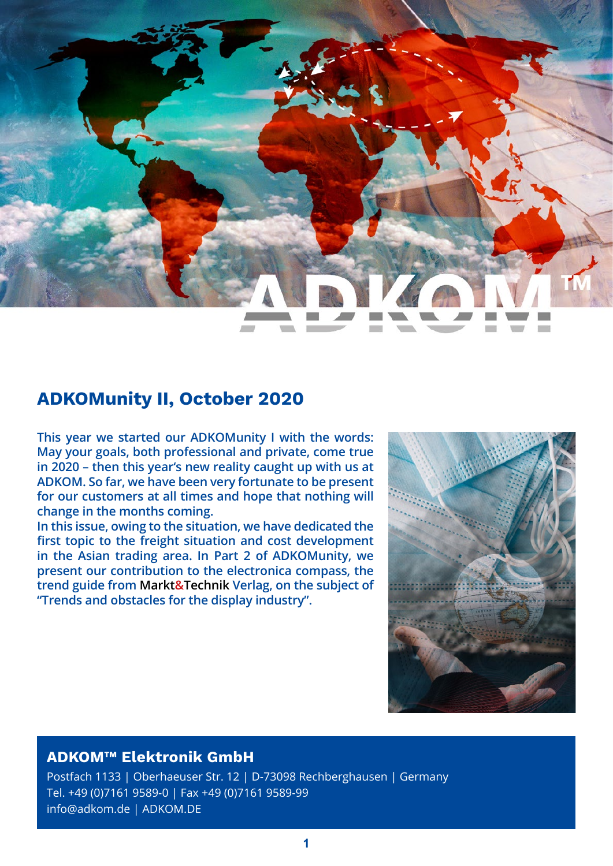

# **ADKOMunity II, October 2020**

**This year we started our ADKOMunity I with the words: May your goals, both professional and private, come true in 2020 – then this year's new reality caught up with us at ADKOM. So far, we have been very fortunate to be present for our customers at all times and hope that nothing will change in the months coming.**

**In this issue, owing to the situation, we have dedicated the first topic to the freight situation and cost development in the Asian trading area. In Part 2 of ADKOMunity, we present our contribution to the electronica compass, the trend guide from Markt&Technik Verlag, on the subject of "Trends and obstacles for the display industry".**



## **ADKOM™ Elektronik GmbH**

Postfach 1133 | Oberhaeuser Str. 12 | D-73098 Rechberghausen | Germany Tel. +49 (0)7161 9589-0 | Fax +49 (0)7161 9589-99 info@adkom.de | ADKOM.DE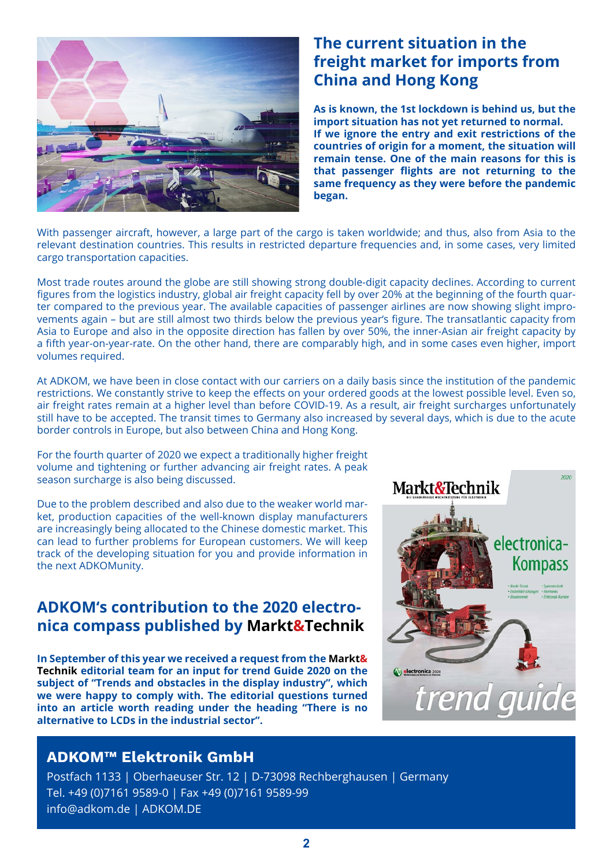

# **The current situation in the freight market for imports from China and Hong Kong**

**As is known, the 1st lockdown is behind us, but the import situation has not yet returned to normal. If we ignore the entry and exit restrictions of the countries of origin for a moment, the situation will remain tense. One of the main reasons for this is that passenger flights are not returning to the same frequency as they were before the pandemic began.**

With passenger aircraft, however, a large part of the cargo is taken worldwide; and thus, also from Asia to the relevant destination countries. This results in restricted departure frequencies and, in some cases, very limited cargo transportation capacities.

Most trade routes around the globe are still showing strong double-digit capacity declines. According to current figures from the logistics industry, global air freight capacity fell by over 20% at the beginning of the fourth quarter compared to the previous year. The available capacities of passenger airlines are now showing slight improvements again – but are still almost two thirds below the previous year's figure. The transatlantic capacity from Asia to Europe and also in the opposite direction has fallen by over 50%, the inner-Asian air freight capacity by a fifth year-on-year-rate. On the other hand, there are comparably high, and in some cases even higher, import volumes required.

At ADKOM, we have been in close contact with our carriers on a daily basis since the institution of the pandemic restrictions. We constantly strive to keep the effects on your ordered goods at the lowest possible level. Even so, air freight rates remain at a higher level than before COVID-19. As a result, air freight surcharges unfortunately still have to be accepted. The transit times to Germany also increased by several days, which is due to the acute border controls in Europe, but also between China and Hong Kong.

For the fourth quarter of 2020 we expect a traditionally higher freight volume and tightening or further advancing air freight rates. A peak season surcharge is also being discussed.

Due to the problem described and also due to the weaker world market, production capacities of the well-known display manufacturers are increasingly being allocated to the Chinese domestic market. This can lead to further problems for European customers. We will keep track of the developing situation for you and provide information in the next ADKOMunity.

## **ADKOM's contribution to the 2020 electronica compass published by Markt&Technik**

**In September of this year we received a request from the Markt& Technik editorial team for an input for trend Guide 2020 on the subject of "Trends and obstacles in the display industry", which we were happy to comply with. The editorial questions turned into an article worth reading under the heading "There is no alternative to LCDs in the industrial sector".**



#### **ADKOM™ Elektronik GmbH**

Postfach 1133 | Oberhaeuser Str. 12 | D-73098 Rechberghausen | Germany Tel. +49 (0)7161 9589-0 | Fax +49 (0)7161 9589-99 info@adkom.de | ADKOM.DE